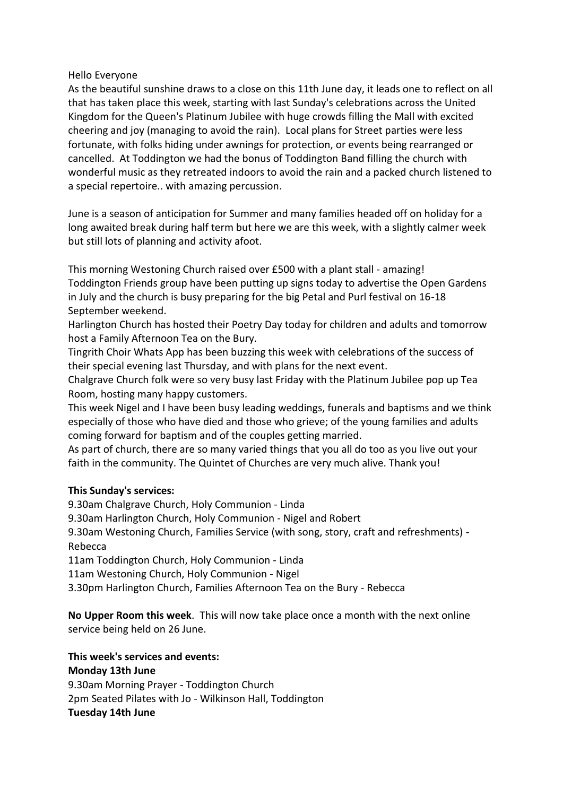## Hello Everyone

As the beautiful sunshine draws to a close on this 11th June day, it leads one to reflect on all that has taken place this week, starting with last Sunday's celebrations across the United Kingdom for the Queen's Platinum Jubilee with huge crowds filling the Mall with excited cheering and joy (managing to avoid the rain). Local plans for Street parties were less fortunate, with folks hiding under awnings for protection, or events being rearranged or cancelled. At Toddington we had the bonus of Toddington Band filling the church with wonderful music as they retreated indoors to avoid the rain and a packed church listened to a special repertoire.. with amazing percussion.

June is a season of anticipation for Summer and many families headed off on holiday for a long awaited break during half term but here we are this week, with a slightly calmer week but still lots of planning and activity afoot.

This morning Westoning Church raised over £500 with a plant stall - amazing! Toddington Friends group have been putting up signs today to advertise the Open Gardens in July and the church is busy preparing for the big Petal and Purl festival on 16-18 September weekend.

Harlington Church has hosted their Poetry Day today for children and adults and tomorrow host a Family Afternoon Tea on the Bury.

Tingrith Choir Whats App has been buzzing this week with celebrations of the success of their special evening last Thursday, and with plans for the next event.

Chalgrave Church folk were so very busy last Friday with the Platinum Jubilee pop up Tea Room, hosting many happy customers.

This week Nigel and I have been busy leading weddings, funerals and baptisms and we think especially of those who have died and those who grieve; of the young families and adults coming forward for baptism and of the couples getting married.

As part of church, there are so many varied things that you all do too as you live out your faith in the community. The Quintet of Churches are very much alive. Thank you!

## **This Sunday's services:**

9.30am Chalgrave Church, Holy Communion - Linda

9.30am Harlington Church, Holy Communion - Nigel and Robert

9.30am Westoning Church, Families Service (with song, story, craft and refreshments) - Rebecca

11am Toddington Church, Holy Communion - Linda

11am Westoning Church, Holy Communion - Nigel

3.30pm Harlington Church, Families Afternoon Tea on the Bury - Rebecca

**No Upper Room this week**. This will now take place once a month with the next online service being held on 26 June.

## **This week's services and events:**

**Monday 13th June**

9.30am Morning Prayer - Toddington Church 2pm Seated Pilates with Jo - Wilkinson Hall, Toddington **Tuesday 14th June**